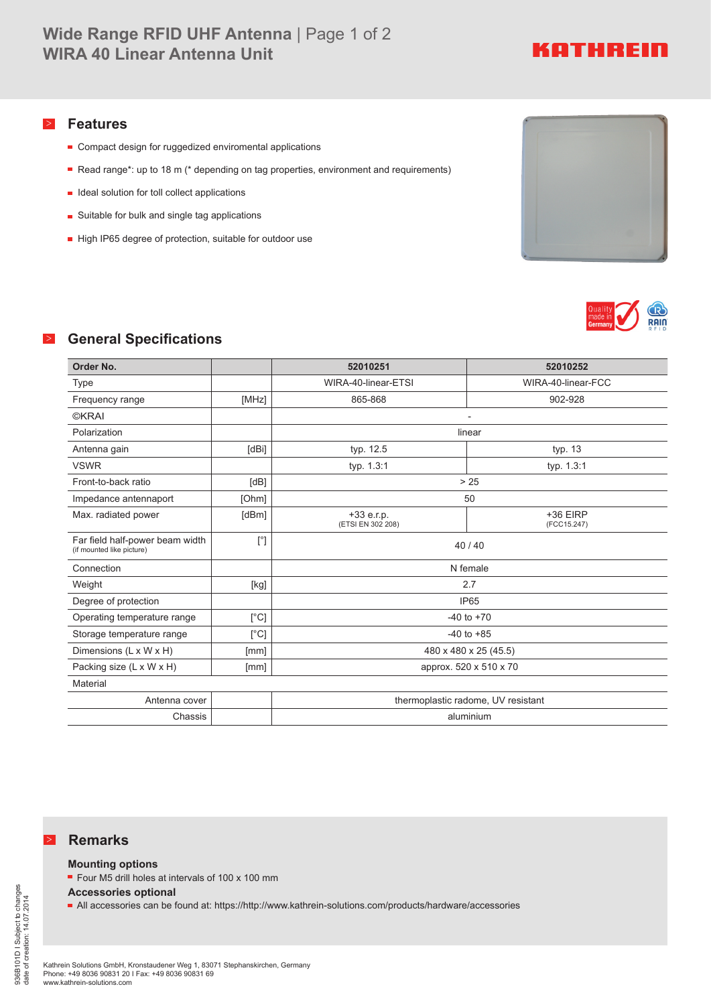# KATHREIN

### > **Features**

- Compact design for ruggedized enviromental applications
- Read range\*: up to 18 m (\* depending on tag properties, environment and requirements)
- $\blacksquare$  Ideal solution for toll collect applications
- **Suitable for bulk and single tag applications**
- High IP65 degree of protection, suitable for outdoor use





## > **General Specifications**

| Order No.                                                    |                                                                                                                                                                                                                                                                                                                                                                                                                                                                                                                                                                                                                                                                    | 52010251                           | 52010252                |  |
|--------------------------------------------------------------|--------------------------------------------------------------------------------------------------------------------------------------------------------------------------------------------------------------------------------------------------------------------------------------------------------------------------------------------------------------------------------------------------------------------------------------------------------------------------------------------------------------------------------------------------------------------------------------------------------------------------------------------------------------------|------------------------------------|-------------------------|--|
| Type                                                         |                                                                                                                                                                                                                                                                                                                                                                                                                                                                                                                                                                                                                                                                    | WIRA-40-linear-ETSI                | WIRA-40-linear-FCC      |  |
| Frequency range                                              | [MHz]                                                                                                                                                                                                                                                                                                                                                                                                                                                                                                                                                                                                                                                              | 865-868                            | 902-928                 |  |
| <b>©KRAI</b>                                                 |                                                                                                                                                                                                                                                                                                                                                                                                                                                                                                                                                                                                                                                                    |                                    |                         |  |
| Polarization                                                 |                                                                                                                                                                                                                                                                                                                                                                                                                                                                                                                                                                                                                                                                    | linear                             |                         |  |
| Antenna gain                                                 | [dBi]                                                                                                                                                                                                                                                                                                                                                                                                                                                                                                                                                                                                                                                              | typ. 12.5                          | typ. 13                 |  |
| <b>VSWR</b>                                                  |                                                                                                                                                                                                                                                                                                                                                                                                                                                                                                                                                                                                                                                                    | typ. 1.3:1                         | typ. 1.3:1              |  |
| Front-to-back ratio                                          | [dB]                                                                                                                                                                                                                                                                                                                                                                                                                                                                                                                                                                                                                                                               | > 25                               |                         |  |
| Impedance antennaport                                        | [Ohm]                                                                                                                                                                                                                                                                                                                                                                                                                                                                                                                                                                                                                                                              |                                    | 50                      |  |
| Max. radiated power                                          | [dBm]                                                                                                                                                                                                                                                                                                                                                                                                                                                                                                                                                                                                                                                              | $+33$ e.r.p.<br>(ETSI EN 302 208)  | +36 EIRP<br>(FCC15.247) |  |
| Far field half-power beam width<br>(if mounted like picture) | $[^{\circ}]$                                                                                                                                                                                                                                                                                                                                                                                                                                                                                                                                                                                                                                                       | 40/40                              |                         |  |
| Connection                                                   |                                                                                                                                                                                                                                                                                                                                                                                                                                                                                                                                                                                                                                                                    | N female                           |                         |  |
| Weight                                                       | $[kg] % \begin{center} % \includegraphics[width=\linewidth]{imagesSupplemental_3.png} % \end{center} % \caption { % \textit{DefNet} of the \textit{DefNet} dataset. % Note that the \textit{DefNet} and \textit{DefNet} dataset. % Note that the \textit{DefNet} and \textit{DefNet} dataset. % Note that the \textit{DefNet} and \textit{DefNet} dataset. % Note that the \textit{DefNet} and \textit{DefNet} dataset. % Note that the \textit{DefNet} and \textit{DefNet} dataset. % Note that the \textit{DefNet} and \textit{DefNet} dataset. % Note that the \textit{DefNet} and \textit{DefNet} dataset. % Note that the \textit{DefNet} and \textit{DefNet$ | 2.7                                |                         |  |
| Degree of protection                                         |                                                                                                                                                                                                                                                                                                                                                                                                                                                                                                                                                                                                                                                                    | <b>IP65</b>                        |                         |  |
| Operating temperature range                                  | [°C]                                                                                                                                                                                                                                                                                                                                                                                                                                                                                                                                                                                                                                                               | $-40$ to $+70$                     |                         |  |
| Storage temperature range                                    | [°C]                                                                                                                                                                                                                                                                                                                                                                                                                                                                                                                                                                                                                                                               | $-40$ to $+85$                     |                         |  |
| Dimensions (L x W x H)                                       | [mm]                                                                                                                                                                                                                                                                                                                                                                                                                                                                                                                                                                                                                                                               | 480 x 480 x 25 (45.5)              |                         |  |
| Packing size (L x W x H)                                     | [mm]                                                                                                                                                                                                                                                                                                                                                                                                                                                                                                                                                                                                                                                               | approx. 520 x 510 x 70             |                         |  |
| Material                                                     |                                                                                                                                                                                                                                                                                                                                                                                                                                                                                                                                                                                                                                                                    |                                    |                         |  |
| Antenna cover                                                |                                                                                                                                                                                                                                                                                                                                                                                                                                                                                                                                                                                                                                                                    | thermoplastic radome, UV resistant |                         |  |
| Chassis                                                      |                                                                                                                                                                                                                                                                                                                                                                                                                                                                                                                                                                                                                                                                    | aluminium                          |                         |  |

#### > **Remarks**

**Mounting options**

■ Four M5 drill holes at intervals of 100 x 100 mm

**Accessories optional**

All accessories can be found at: https://http://www.kathrein-solutions.com/products/hardware/accessories